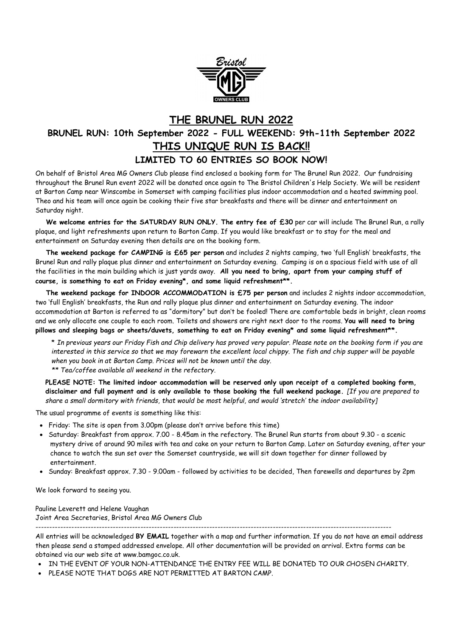

## **THE BRUNEL RUN 2022 BRUNEL RUN: 10th September 2022 - FULL WEEKEND: 9th-11th September 2022 THIS UNIQUE RUN IS BACK!! LIMITED TO 60 ENTRIES SO BOOK NOW!**

On behalf of Bristol Area MG Owners Club please find enclosed a booking form for The Brunel Run 2022. Our fundraising throughout the Brunel Run event 2022 will be donated once again to The Bristol Children's Help Society. We will be resident at Barton Camp near Winscombe in Somerset with camping facilities plus indoor accommodation and a heated swimming pool. Theo and his team will once again be cooking their five star breakfasts and there will be dinner and entertainment on Saturday night.

**We welcome entries for the SATURDAY RUN ONLY. The entry fee of £30** per car will include The Brunel Run, a rally plaque, and light refreshments upon return to Barton Camp. If you would like breakfast or to stay for the meal and entertainment on Saturday evening then details are on the booking form.

**The weekend package for CAMPING is £65 per person** and includes 2 nights camping, two 'full English' breakfasts, the Brunel Run and rally plaque plus dinner and entertainment on Saturday evening. Camping is on a spacious field with use of all the facilities in the main building which is just yards away. **All you need to bring, apart from your camping stuff of course, is something to eat on Friday evening\*, and some liquid refreshment\*\*.**

**The weekend package for INDOOR ACCOMMODATION is £75 per person** and includes 2 nights indoor accommodation, two 'full English' breakfasts, the Run and rally plaque plus dinner and entertainment on Saturday evening. The indoor accommodation at Barton is referred to as "dormitory" but don't be fooled! There are comfortable beds in bright, clean rooms and we only allocate one couple to each room. Toilets and showers are right next door to the rooms. **You will need to bring pillows and sleeping bags or sheets/duvets, something to eat on Friday evening\* and some liquid refreshment\*\*.**

\* *In previous years our Friday Fish and Chip delivery has proved very popular. Please note on the booking form if you are interested in this service so that we may forewarn the excellent local chippy. The fish and chip supper will be payable when you book in at Barton Camp. Prices will not be known until the day. \*\* Tea/coffee available all weekend in the refectory.* 

**PLEASE NOTE: The limited indoor accommodation will be reserved only upon receipt of a completed booking form, disclaimer and full payment and is only available to those booking the full weekend package.** *[If you are prepared to share a small dormitory with friends, that would be most helpful, and would 'stretch' the indoor availability]*

The usual programme of events is something like this:

- Friday: The site is open from 3.00pm (please don't arrive before this time)
- Saturday: Breakfast from approx. 7.00 8.45am in the refectory. The Brunel Run starts from about 9.30 a scenic mystery drive of around 90 miles with tea and cake on your return to Barton Camp. Later on Saturday evening, after your chance to watch the sun set over the Somerset countryside, we will sit down together for dinner followed by entertainment.
- Sunday: Breakfast approx. 7.30 9.00am followed by activities to be decided, Then farewells and departures by 2pm

We look forward to seeing you.

Pauline Leverett and Helene Vaughan Joint Area Secretaries, Bristol Area MG Owners Club

--------------------------------------------------------------------------------------------------------------------------------- All entries will be acknowledged **BY EMAIL** together with a map and further information. If you do not have an email address then please send a stamped addressed envelope. All other documentation will be provided on arrival. Extra forms can be obtained via our web site at www.bamgoc.co.uk.

- . IN THE EVENT OF YOUR NON-ATTENDANCE THE ENTRY FEE WILL BE DONATED TO OUR CHOSEN CHARITY.
- PLEASE NOTE THAT DOGS ARE NOT PERMITTED AT BARTON CAMP.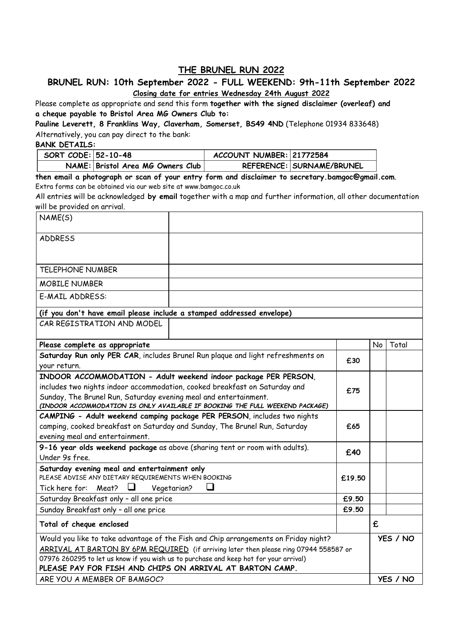### **THE BRUNEL RUN 2022**

### **BRUNEL RUN: 10th September 2022 - FULL WEEKEND: 9th-11th September 2022 Closing date for entries Wednesday 24th August 2022**

Please complete as appropriate and send this form **together with the signed disclaimer (overleaf) and a cheque payable to Bristol Area MG Owners Club to:** 

**Pauline Leverett, 8 Franklins Way, Claverham, Somerset, BS49 4ND** (Telephone 01934 833648) Alternatively, you can pay direct to the bank:

#### **BANK DETAILS:**

| SORT CODE: 52-10-48 |                                   | ACCOUNT NUMBER: 21772584 |                           |
|---------------------|-----------------------------------|--------------------------|---------------------------|
|                     | NAME: Bristol Area MG Owners Club |                          | REFERENCE: SURNAME/BRUNEL |

**then email a photograph or scan of your entry form and disclaimer to secretary.bamgoc@gmail.com**. Extra forms can be obtained via our web site at www.bamgoc.co.uk

All entries will be acknowledged **by email** together with a map and further information, all other documentation will be provided on arrival.

| NAME(S)                                                                                                                                                                                                                                                                                                                           |  |  |    |          |  |  |
|-----------------------------------------------------------------------------------------------------------------------------------------------------------------------------------------------------------------------------------------------------------------------------------------------------------------------------------|--|--|----|----------|--|--|
| <b>ADDRESS</b>                                                                                                                                                                                                                                                                                                                    |  |  |    |          |  |  |
| <b>TELEPHONE NUMBER</b>                                                                                                                                                                                                                                                                                                           |  |  |    |          |  |  |
| <b>MOBILE NUMBER</b>                                                                                                                                                                                                                                                                                                              |  |  |    |          |  |  |
| E-MAIL ADDRESS:                                                                                                                                                                                                                                                                                                                   |  |  |    |          |  |  |
| (if you don't have email please include a stamped addressed envelope)                                                                                                                                                                                                                                                             |  |  |    |          |  |  |
| CAR REGISTRATION AND MODEL                                                                                                                                                                                                                                                                                                        |  |  |    |          |  |  |
| Please complete as appropriate                                                                                                                                                                                                                                                                                                    |  |  | No | Total    |  |  |
| Saturday Run only PER CAR, includes Brunel Run plaque and light refreshments on<br>your return.                                                                                                                                                                                                                                   |  |  |    |          |  |  |
| INDOOR ACCOMMODATION - Adult weekend indoor package PER PERSON,<br>includes two nights indoor accommodation, cooked breakfast on Saturday and<br>Sunday, The Brunel Run, Saturday evening meal and entertainment.<br>(INDOOR ACCOMMODATION IS ONLY AVAILABLE IF BOOKING THE FULL WEEKEND PACKAGE)                                 |  |  |    |          |  |  |
| CAMPING - Adult weekend camping package PER PERSON, includes two nights<br>camping, cooked breakfast on Saturday and Sunday, The Brunel Run, Saturday<br>evening meal and entertainment.                                                                                                                                          |  |  |    |          |  |  |
| 9-16 year olds weekend package as above (sharing tent or room with adults).<br>£40<br>Under 9s free.                                                                                                                                                                                                                              |  |  |    |          |  |  |
| Saturday evening meal and entertainment only<br>PLEASE ADVISE ANY DIETARY REQUIREMENTS WHEN BOOKING<br>£19.50<br>ப<br>ப                                                                                                                                                                                                           |  |  |    |          |  |  |
| Tick here for: Meat?<br>Vegetarian?<br>Saturday Breakfast only - all one price                                                                                                                                                                                                                                                    |  |  |    |          |  |  |
| Sunday Breakfast only - all one price                                                                                                                                                                                                                                                                                             |  |  |    |          |  |  |
| £9.50<br>Total of cheque enclosed                                                                                                                                                                                                                                                                                                 |  |  | £  |          |  |  |
| Would you like to take advantage of the Fish and Chip arrangements on Friday night?<br>ARRIVAL AT BARTON BY 6PM REQUIRED (if arriving later then please ring 07944 558587 or<br>07976 260295 to let us know if you wish us to purchase and keep hot for your arrival)<br>PLEASE PAY FOR FISH AND CHIPS ON ARRIVAL AT BARTON CAMP. |  |  |    | YES / NO |  |  |
| ARE YOU A MEMBER OF BAMGOC?                                                                                                                                                                                                                                                                                                       |  |  |    | YES / NO |  |  |